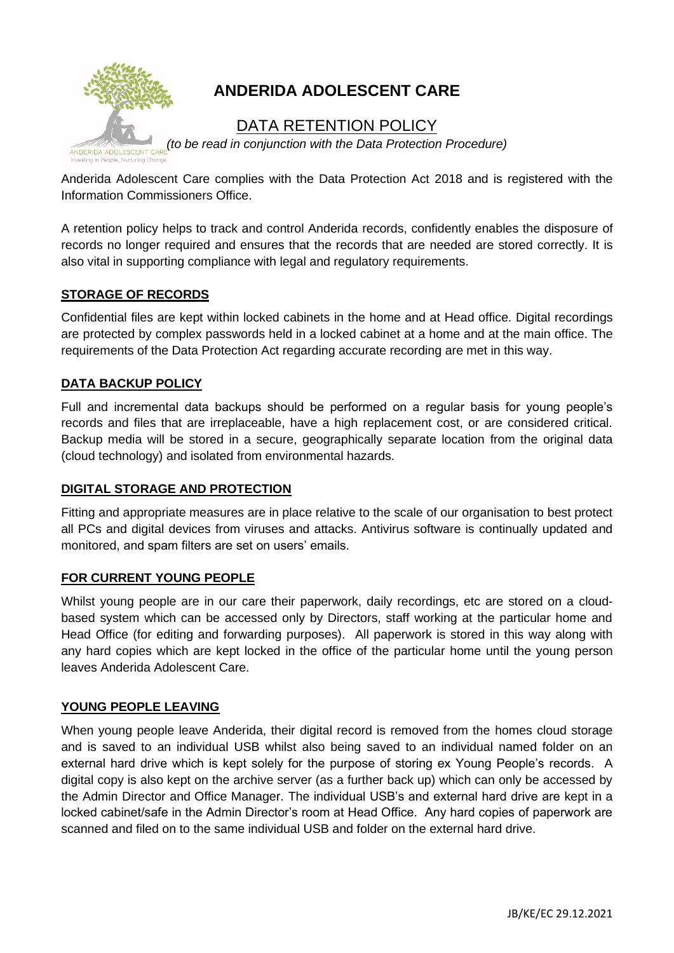

# **ANDERIDA ADOLESCENT CARE**

# DATA RETENTION POLICY

*(to be read in conjunction with the Data Protection Procedure)*

Anderida Adolescent Care complies with the Data Protection Act 2018 and is registered with the Information Commissioners Office.

A retention policy helps to track and control Anderida records, confidently enables the disposure of records no longer required and ensures that the records that are needed are stored correctly. It is also vital in supporting compliance with legal and regulatory requirements.

### **STORAGE OF RECORDS**

Confidential files are kept within locked cabinets in the home and at Head office. Digital recordings are protected by complex passwords held in a locked cabinet at a home and at the main office. The requirements of the Data Protection Act regarding accurate recording are met in this way.

## **DATA BACKUP POLICY**

Full and incremental data backups should be performed on a regular basis for young people's records and files that are irreplaceable, have a high replacement cost, or are considered critical. Backup media will be stored in a secure, geographically separate location from the original data (cloud technology) and isolated from environmental hazards.

### **DIGITAL STORAGE AND PROTECTION**

Fitting and appropriate measures are in place relative to the scale of our organisation to best protect all PCs and digital devices from viruses and attacks. Antivirus software is continually updated and monitored, and spam filters are set on users' emails.

#### **FOR CURRENT YOUNG PEOPLE**

Whilst young people are in our care their paperwork, daily recordings, etc are stored on a cloudbased system which can be accessed only by Directors, staff working at the particular home and Head Office (for editing and forwarding purposes). All paperwork is stored in this way along with any hard copies which are kept locked in the office of the particular home until the young person leaves Anderida Adolescent Care.

### **YOUNG PEOPLE LEAVING**

When young people leave Anderida, their digital record is removed from the homes cloud storage and is saved to an individual USB whilst also being saved to an individual named folder on an external hard drive which is kept solely for the purpose of storing ex Young People's records. A digital copy is also kept on the archive server (as a further back up) which can only be accessed by the Admin Director and Office Manager. The individual USB's and external hard drive are kept in a locked cabinet/safe in the Admin Director's room at Head Office. Any hard copies of paperwork are scanned and filed on to the same individual USB and folder on the external hard drive.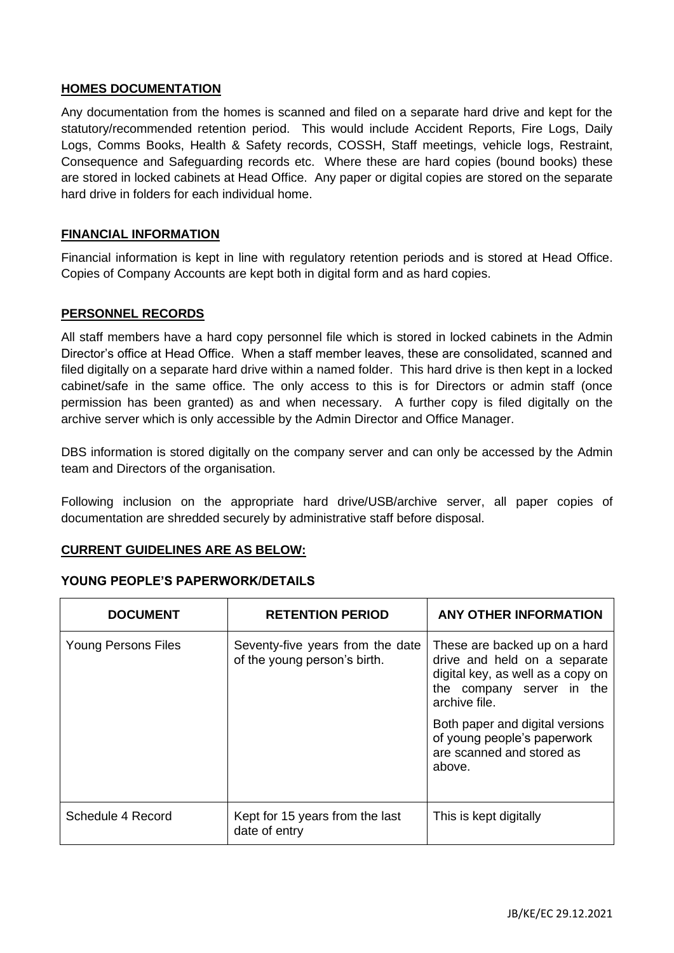#### **HOMES DOCUMENTATION**

Any documentation from the homes is scanned and filed on a separate hard drive and kept for the statutory/recommended retention period. This would include Accident Reports, Fire Logs, Daily Logs, Comms Books, Health & Safety records, COSSH, Staff meetings, vehicle logs, Restraint, Consequence and Safeguarding records etc. Where these are hard copies (bound books) these are stored in locked cabinets at Head Office. Any paper or digital copies are stored on the separate hard drive in folders for each individual home.

#### **FINANCIAL INFORMATION**

Financial information is kept in line with regulatory retention periods and is stored at Head Office. Copies of Company Accounts are kept both in digital form and as hard copies.

#### **PERSONNEL RECORDS**

All staff members have a hard copy personnel file which is stored in locked cabinets in the Admin Director's office at Head Office. When a staff member leaves, these are consolidated, scanned and filed digitally on a separate hard drive within a named folder. This hard drive is then kept in a locked cabinet/safe in the same office. The only access to this is for Directors or admin staff (once permission has been granted) as and when necessary. A further copy is filed digitally on the archive server which is only accessible by the Admin Director and Office Manager.

DBS information is stored digitally on the company server and can only be accessed by the Admin team and Directors of the organisation.

Following inclusion on the appropriate hard drive/USB/archive server, all paper copies of documentation are shredded securely by administrative staff before disposal.

#### **CURRENT GUIDELINES ARE AS BELOW:**

#### **YOUNG PEOPLE'S PAPERWORK/DETAILS**

| <b>DOCUMENT</b>            | <b>RETENTION PERIOD</b>                                          | <b>ANY OTHER INFORMATION</b>                                                                                                                                                                                                                              |
|----------------------------|------------------------------------------------------------------|-----------------------------------------------------------------------------------------------------------------------------------------------------------------------------------------------------------------------------------------------------------|
| <b>Young Persons Files</b> | Seventy-five years from the date<br>of the young person's birth. | These are backed up on a hard<br>drive and held on a separate<br>digital key, as well as a copy on<br>the company server in the<br>archive file.<br>Both paper and digital versions<br>of young people's paperwork<br>are scanned and stored as<br>above. |
|                            |                                                                  |                                                                                                                                                                                                                                                           |
| Schedule 4 Record          | Kept for 15 years from the last<br>date of entry                 | This is kept digitally                                                                                                                                                                                                                                    |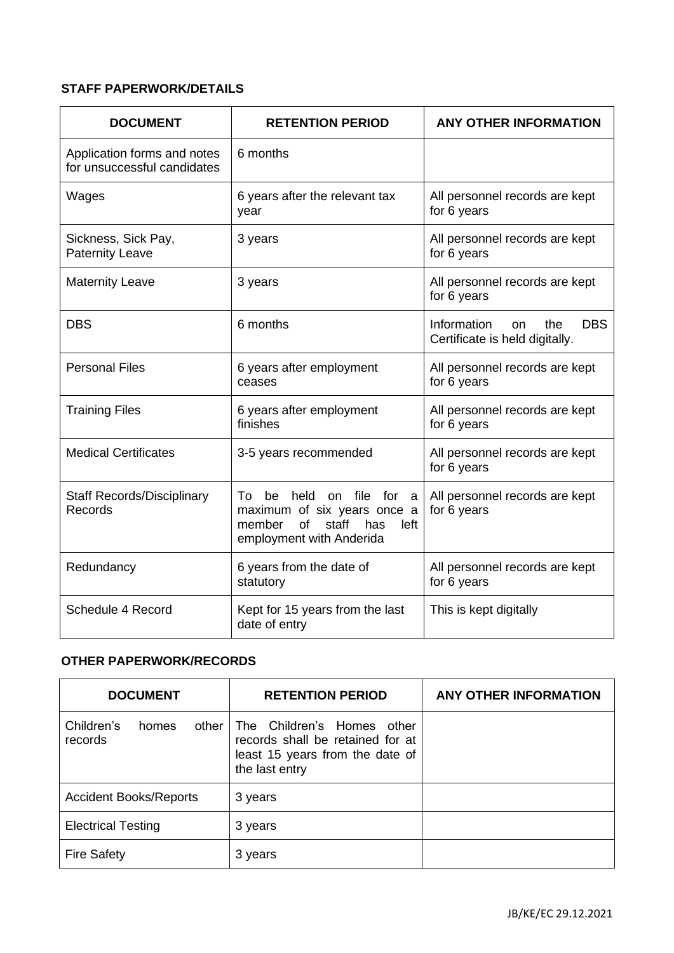# **STAFF PAPERWORK/DETAILS**

| <b>DOCUMENT</b>                                            | <b>RETENTION PERIOD</b>                                                                                                                      | <b>ANY OTHER INFORMATION</b>                                                        |
|------------------------------------------------------------|----------------------------------------------------------------------------------------------------------------------------------------------|-------------------------------------------------------------------------------------|
| Application forms and notes<br>for unsuccessful candidates | 6 months                                                                                                                                     |                                                                                     |
| Wages                                                      | 6 years after the relevant tax<br>year                                                                                                       | All personnel records are kept<br>for 6 years                                       |
| Sickness, Sick Pay,<br><b>Paternity Leave</b>              | 3 years                                                                                                                                      | All personnel records are kept<br>for 6 years                                       |
| <b>Maternity Leave</b>                                     | 3 years                                                                                                                                      | All personnel records are kept<br>for 6 years                                       |
| <b>DBS</b>                                                 | 6 months                                                                                                                                     | Information<br><b>DBS</b><br>the<br><sub>on</sub><br>Certificate is held digitally. |
| <b>Personal Files</b>                                      | 6 years after employment<br>ceases                                                                                                           | All personnel records are kept<br>for 6 years                                       |
| <b>Training Files</b>                                      | 6 years after employment<br>finishes                                                                                                         | All personnel records are kept<br>for 6 years                                       |
| <b>Medical Certificates</b>                                | 3-5 years recommended                                                                                                                        | All personnel records are kept<br>for 6 years                                       |
| <b>Staff Records/Disciplinary</b><br>Records               | held on file for<br>To<br>be<br>a<br>maximum of six years once a<br>staff<br><b>of</b><br>has<br>member<br>left.<br>employment with Anderida | All personnel records are kept<br>for 6 years                                       |
| Redundancy                                                 | 6 years from the date of<br>statutory                                                                                                        | All personnel records are kept<br>for 6 years                                       |
| Schedule 4 Record                                          | Kept for 15 years from the last<br>date of entry                                                                                             | This is kept digitally                                                              |

# **OTHER PAPERWORK/RECORDS**

| <b>DOCUMENT</b>                           | <b>RETENTION PERIOD</b>                                                                                             | <b>ANY OTHER INFORMATION</b> |
|-------------------------------------------|---------------------------------------------------------------------------------------------------------------------|------------------------------|
| Children's<br>other I<br>homes<br>records | The Children's Homes other<br>records shall be retained for at<br>least 15 years from the date of<br>the last entry |                              |
| <b>Accident Books/Reports</b>             | 3 years                                                                                                             |                              |
| <b>Electrical Testing</b>                 | 3 years                                                                                                             |                              |
| <b>Fire Safety</b>                        | 3 years                                                                                                             |                              |